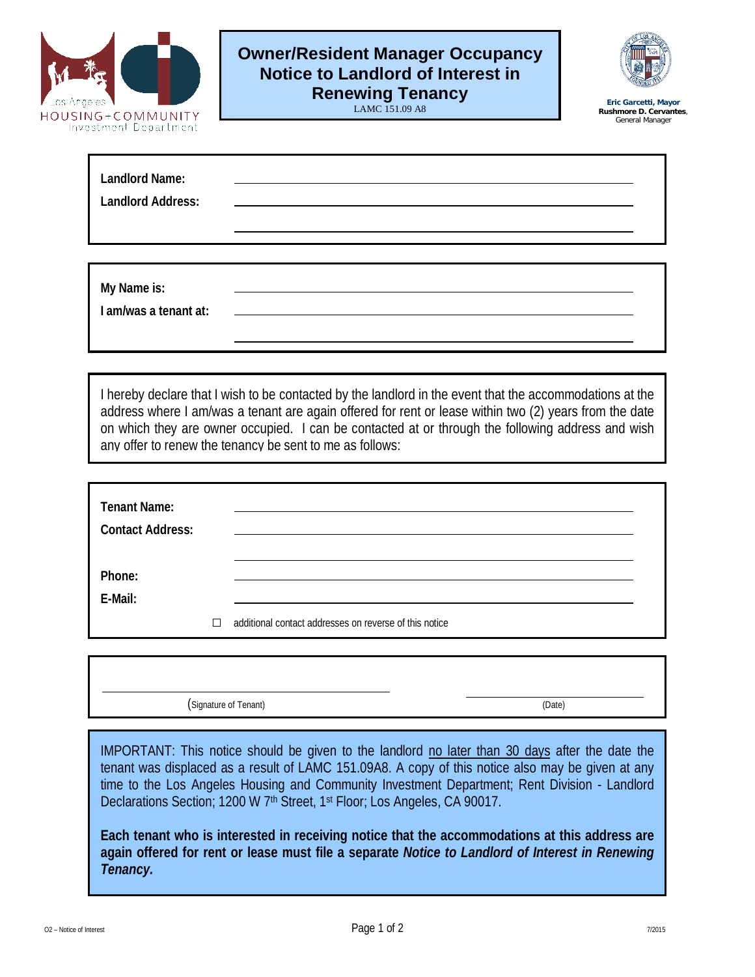

## **Owner/Resident Manager Occupancy Notice to Landlord of Interest in Renewing Tenancy**

LAMC 151.09 A8



**Eric Garcetti, Mayor Rushmore D. Cervantes**, General Manager

| <b>Landlord Name:</b><br><b>Landlord Address:</b> | <u> Alexandria de la contrada de la contrada de la contrada de la contrada de la contrada de la contrada de la c</u> |  |
|---------------------------------------------------|----------------------------------------------------------------------------------------------------------------------|--|
|                                                   |                                                                                                                      |  |
| My Name is:<br>I am/was a tenant at:              | <u> 1980 - Johann Barn, mars and de Brasilian (b. 1980)</u>                                                          |  |

I hereby declare that I wish to be contacted by the landlord in the event that the accommodations at the address where I am/was a tenant are again offered for rent or lease within two (2) years from the date on which they are owner occupied. I can be contacted at or through the following address and wish any offer to renew the tenancy be sent to me as follows:

| <b>Tenant Name:</b><br><b>Contact Address:</b> |   |                                                        |
|------------------------------------------------|---|--------------------------------------------------------|
| Phone:<br>E-Mail:                              |   |                                                        |
|                                                | П | additional contact addresses on reverse of this notice |

(Signature of Tenant) (Date)

IMPORTANT: This notice should be given to the landlord no later than 30 days after the date the tenant was displaced as a result of LAMC 151.09A8. A copy of this notice also may be given at any time to the Los Angeles Housing and Community Investment Department; Rent Division - Landlord Declarations Section; 1200 W 7<sup>th</sup> Street, 1<sup>st</sup> Floor; Los Angeles, CA 90017.

**Each tenant who is interested in receiving notice that the accommodations at this address are again offered for rent or lease must file a separate** *Notice to Landlord of Interest in Renewing Tenancy.*